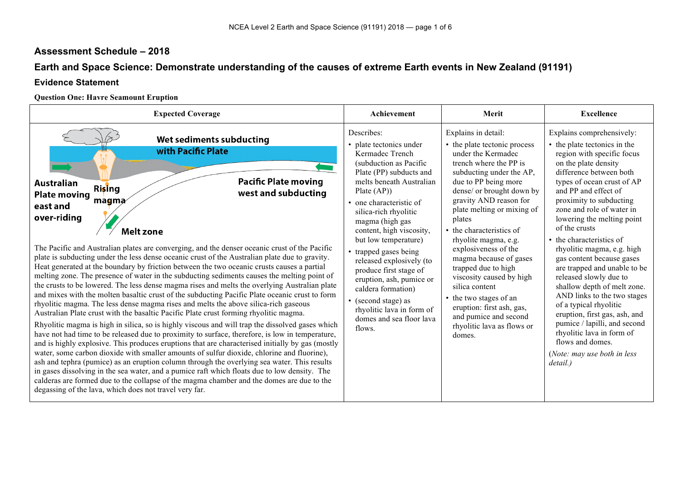# **Assessment Schedule – 2018**

# **Earth and Space Science: Demonstrate understanding of the causes of extreme Earth events in New Zealand (91191)**

## **Evidence Statement**

### **Question One: Havre Seamount Eruption**

| <b>Expected Coverage</b>                                                                                                                                                                                                                                                                                                                                                                                                                                                                                                                                                                                                                                                                                                                                                                                                                                                                                                                                                                                                                                                                                                                                                                                                                                                                                                                                                                                                                                                                                                                                                                                                                                                                                                                                               | Achievement                                                                                                                                                                                                                                                                                                                                                                                                                                                                                                     | Merit                                                                                                                                                                                                                                                                                                                                                                                                                                                                                                                                                     | <b>Excellence</b>                                                                                                                                                                                                                                                                                                                                                                                                                                                                                                                                                                                                                                                                                           |  |
|------------------------------------------------------------------------------------------------------------------------------------------------------------------------------------------------------------------------------------------------------------------------------------------------------------------------------------------------------------------------------------------------------------------------------------------------------------------------------------------------------------------------------------------------------------------------------------------------------------------------------------------------------------------------------------------------------------------------------------------------------------------------------------------------------------------------------------------------------------------------------------------------------------------------------------------------------------------------------------------------------------------------------------------------------------------------------------------------------------------------------------------------------------------------------------------------------------------------------------------------------------------------------------------------------------------------------------------------------------------------------------------------------------------------------------------------------------------------------------------------------------------------------------------------------------------------------------------------------------------------------------------------------------------------------------------------------------------------------------------------------------------------|-----------------------------------------------------------------------------------------------------------------------------------------------------------------------------------------------------------------------------------------------------------------------------------------------------------------------------------------------------------------------------------------------------------------------------------------------------------------------------------------------------------------|-----------------------------------------------------------------------------------------------------------------------------------------------------------------------------------------------------------------------------------------------------------------------------------------------------------------------------------------------------------------------------------------------------------------------------------------------------------------------------------------------------------------------------------------------------------|-------------------------------------------------------------------------------------------------------------------------------------------------------------------------------------------------------------------------------------------------------------------------------------------------------------------------------------------------------------------------------------------------------------------------------------------------------------------------------------------------------------------------------------------------------------------------------------------------------------------------------------------------------------------------------------------------------------|--|
| Wet sediments subducting<br>with Pacific Plate<br><b>Pacific Plate moving</b><br>Australian<br><b>Rising</b><br>west and subducting<br><b>Plate moving</b><br>$m$ agma<br>east and<br>over-riding<br><b>Melt zone</b><br>The Pacific and Australian plates are converging, and the denser oceanic crust of the Pacific<br>plate is subducting under the less dense oceanic crust of the Australian plate due to gravity.<br>Heat generated at the boundary by friction between the two oceanic crusts causes a partial<br>melting zone. The presence of water in the subducting sediments causes the melting point of<br>the crusts to be lowered. The less dense magma rises and melts the overlying Australian plate<br>and mixes with the molten basaltic crust of the subducting Pacific Plate oceanic crust to form<br>rhyolitic magma. The less dense magma rises and melts the above silica-rich gaseous<br>Australian Plate crust with the basaltic Pacific Plate crust forming rhyolitic magma.<br>Rhyolitic magma is high in silica, so is highly viscous and will trap the dissolved gases which<br>have not had time to be released due to proximity to surface, therefore, is low in temperature,<br>and is highly explosive. This produces eruptions that are characterised initially by gas (mostly<br>water, some carbon dioxide with smaller amounts of sulfur dioxide, chlorine and fluorine),<br>ash and tephra (pumice) as an eruption column through the overlying sea water. This results<br>in gases dissolving in the sea water, and a pumice raft which floats due to low density. The<br>calderas are formed due to the collapse of the magma chamber and the domes are due to the<br>degassing of the lava, which does not travel very far. | Describes:<br>• plate tectonics under<br>Kermadec Trench<br>(subduction as Pacific<br>Plate (PP) subducts and<br>melts beneath Australian<br>Plate $(AP)$<br>• one characteristic of<br>silica-rich rhyolitic<br>magma (high gas<br>content, high viscosity,<br>but low temperature)<br>• trapped gases being<br>released explosively (to<br>produce first stage of<br>eruption, ash, pumice or<br>caldera formation)<br>• (second stage) as<br>rhyolitic lava in form of<br>domes and sea floor lava<br>flows. | Explains in detail:<br>• the plate tectonic process<br>under the Kermadec<br>trench where the PP is<br>subducting under the AP,<br>due to PP being more<br>dense/ or brought down by<br>gravity AND reason for<br>plate melting or mixing of<br>plates<br>• the characteristics of<br>rhyolite magma, e.g.<br>explosiveness of the<br>magma because of gases<br>trapped due to high<br>viscosity caused by high<br>silica content<br>• the two stages of an<br>eruption: first ash, gas,<br>and pumice and second<br>rhyolitic lava as flows or<br>domes. | Explains comprehensively:<br>• the plate tectonics in the<br>region with specific focus<br>on the plate density<br>difference between both<br>types of ocean crust of AP<br>and PP and effect of<br>proximity to subducting<br>zone and role of water in<br>lowering the melting point<br>of the crusts<br>the characteristics of<br>rhyolitic magma, e.g. high<br>gas content because gases<br>are trapped and unable to be<br>released slowly due to<br>shallow depth of melt zone.<br>AND links to the two stages<br>of a typical rhyolitic<br>eruption, first gas, ash, and<br>pumice / lapilli, and second<br>rhyolitic lava in form of<br>flows and domes.<br>(Note: may use both in less<br>detail.) |  |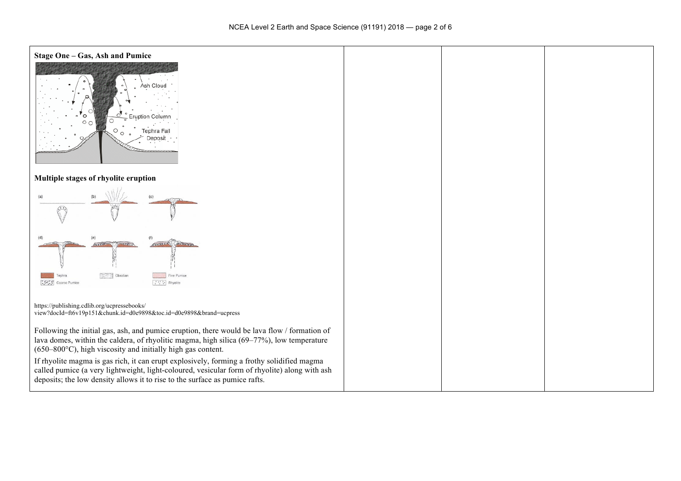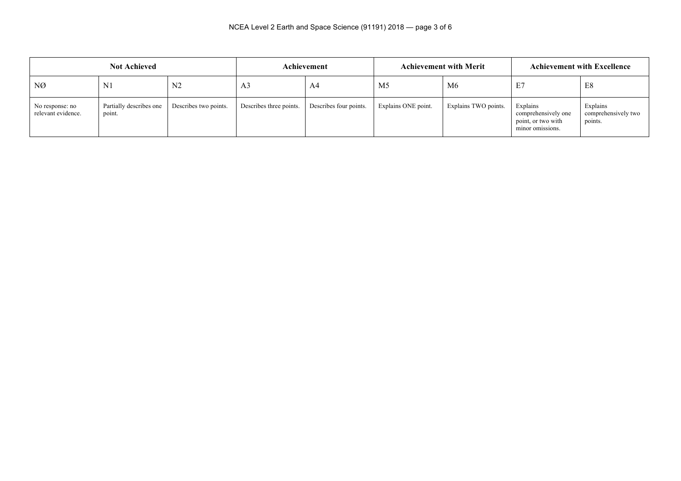| <b>Not Achieved</b>                   |                                   | Achievement           |                         | <b>Achievement with Merit</b> |                     | <b>Achievement with Excellence</b> |                                                                           |                                            |
|---------------------------------------|-----------------------------------|-----------------------|-------------------------|-------------------------------|---------------------|------------------------------------|---------------------------------------------------------------------------|--------------------------------------------|
| NØ                                    | N <sub>1</sub>                    | N <sub>2</sub>        | A <sub>3</sub>          | A4                            | M <sub>5</sub>      | M6                                 | E.                                                                        | E8                                         |
| No response: no<br>relevant evidence. | Partially describes one<br>point. | Describes two points. | Describes three points. | Describes four points.        | Explains ONE point. | Explains TWO points.               | Explains<br>comprehensively one<br>point, or two with<br>minor omissions. | Explains<br>comprehensively two<br>points. |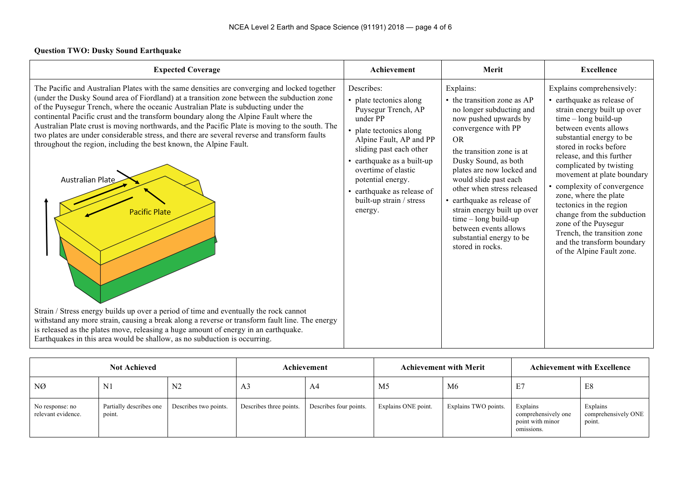#### **Question TWO: Dusky Sound Earthquake**

| <b>Expected Coverage</b>                                                                                                                                                                                                                                                                                                                                                                                                                                                                                                                                                                                                                                                                                                                                                                                                                                                                                                                                                                                                                                     | Achievement                                                                                                                                                                                                                                                                                              | Merit                                                                                                                                                                                                                                                                                                                                                                                                                                      | <b>Excellence</b>                                                                                                                                                                                                                                                                                                                                                                                                                                                                                                      |
|--------------------------------------------------------------------------------------------------------------------------------------------------------------------------------------------------------------------------------------------------------------------------------------------------------------------------------------------------------------------------------------------------------------------------------------------------------------------------------------------------------------------------------------------------------------------------------------------------------------------------------------------------------------------------------------------------------------------------------------------------------------------------------------------------------------------------------------------------------------------------------------------------------------------------------------------------------------------------------------------------------------------------------------------------------------|----------------------------------------------------------------------------------------------------------------------------------------------------------------------------------------------------------------------------------------------------------------------------------------------------------|--------------------------------------------------------------------------------------------------------------------------------------------------------------------------------------------------------------------------------------------------------------------------------------------------------------------------------------------------------------------------------------------------------------------------------------------|------------------------------------------------------------------------------------------------------------------------------------------------------------------------------------------------------------------------------------------------------------------------------------------------------------------------------------------------------------------------------------------------------------------------------------------------------------------------------------------------------------------------|
| The Pacific and Australian Plates with the same densities are converging and locked together<br>(under the Dusky Sound area of Fiordland) at a transition zone between the subduction zone<br>of the Puysegur Trench, where the oceanic Australian Plate is subducting under the<br>continental Pacific crust and the transform boundary along the Alpine Fault where the<br>Australian Plate crust is moving northwards, and the Pacific Plate is moving to the south. The<br>two plates are under considerable stress, and there are several reverse and transform faults<br>throughout the region, including the best known, the Alpine Fault.<br>Australian Plate<br><b>Pacific Plate</b><br>Strain / Stress energy builds up over a period of time and eventually the rock cannot<br>withstand any more strain, causing a break along a reverse or transform fault line. The energy<br>is released as the plates move, releasing a huge amount of energy in an earthquake.<br>Earthquakes in this area would be shallow, as no subduction is occurring. | Describes:<br>• plate tectonics along<br>Puysegur Trench, AP<br>under PP<br>• plate tectonics along<br>Alpine Fault, AP and PP<br>sliding past each other<br>• earthquake as a built-up<br>overtime of elastic<br>potential energy.<br>• earthquake as release of<br>built-up strain / stress<br>energy. | Explains:<br>• the transition zone as AP<br>no longer subducting and<br>now pushed upwards by<br>convergence with PP<br><b>OR</b><br>the transition zone is at<br>Dusky Sound, as both<br>plates are now locked and<br>would slide past each<br>other when stress released<br>• earthquake as release of<br>strain energy built up over<br>$time - long build-up$<br>between events allows<br>substantial energy to be<br>stored in rocks. | Explains comprehensively:<br>• earthquake as release of<br>strain energy built up over<br>time - long build-up<br>between events allows<br>substantial energy to be<br>stored in rocks before<br>release, and this further<br>complicated by twisting<br>movement at plate boundary<br>• complexity of convergence<br>zone, where the plate<br>tectonics in the region<br>change from the subduction<br>zone of the Puysegur<br>Trench, the transition zone<br>and the transform boundary<br>of the Alpine Fault zone. |

| <b>Not Achieved</b>                   |                                   | Achievement           |                         | <b>Achievement with Merit</b> |                     | <b>Achievement with Excellence</b> |                                                                   |                                           |
|---------------------------------------|-----------------------------------|-----------------------|-------------------------|-------------------------------|---------------------|------------------------------------|-------------------------------------------------------------------|-------------------------------------------|
| NØ                                    | N1                                | N <sub>2</sub>        | A <sub>3</sub>          | A4                            | M5                  | M <sub>6</sub>                     | E.                                                                | E8                                        |
| No response: no<br>relevant evidence. | Partially describes one<br>point. | Describes two points. | Describes three points. | Describes four points.        | Explains ONE point. | Explains TWO points.               | Explains<br>comprehensively one<br>point with minor<br>omissions. | Explains<br>comprehensively ONE<br>point. |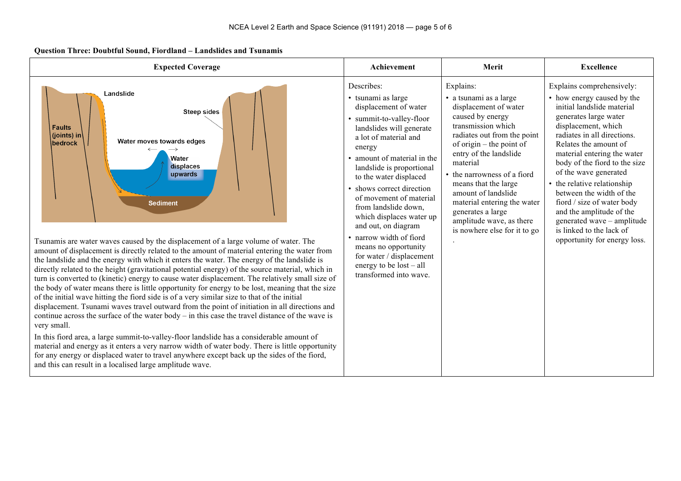#### **Question Three: Doubtful Sound, Fiordland – Landslides and Tsunamis**